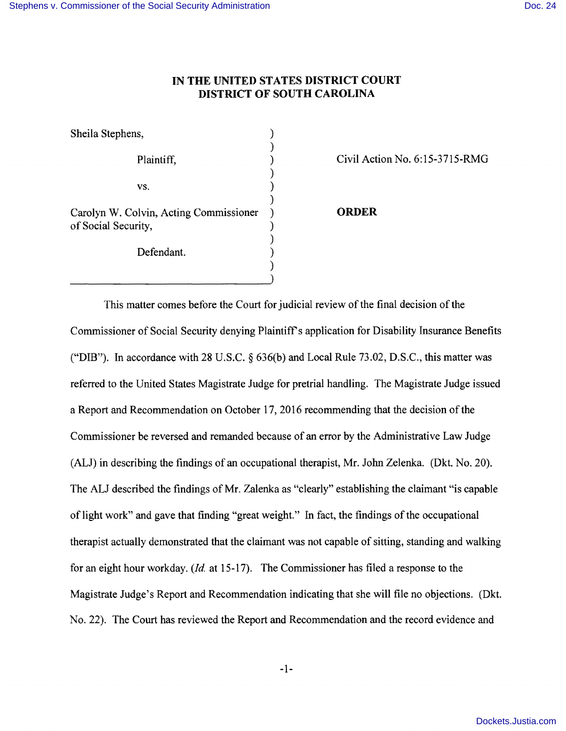## **IN THE UNITED STATES DISTRICT COURT DISTRICT OF SOUTH CAROLINA**

)

)

)

)

) )

Sheila Stephens, (1988)

 $\mathbf{v}\mathbf{s}$ .  $\qquad \qquad$  )

Carolyn W. Colvin, Acting Commissioner ) **ORDER**  of Social Security,  $($ 

Defendant.

Plaintiff,  $Civil Action No. 6:15-3715-RMG$ 

This matter comes before the Court for judicial review of the final decision of the Commissioner of Social Security denying Plaintifr s application for Disability Insurance Benefits ("DIB"). In accordance with 28 U.S.C. § 636(b) and Local Rule 73.02, D.S.C., this matter was referred to the United States Magistrate Judge for pretrial handling. The Magistrate Judge issued a Report and Recommendation on October 17, 2016 recommending that the decision of the Commissioner be reversed and remanded because of an error by the Administrative Law Judge (ALJ) in describing the findings of an occupational therapist, Mr. John Zelenka. (Dkt. No. 20). The ALJ described the findings of Mr. Zalenka as "clearly" establishing the claimant "is capable of light work" and gave that finding "great weight." In fact, the findings of the occupational therapist actually demonstrated that the claimant was not capable of sitting, standing and walking for an eight hour workday. *(ld.* at 15-17). The Commissioner has filed a response to the Magistrate Judge's Report and Recommendation indicating that she will file no objections. (Dkt. No. 22). The Court has reviewed the Report and Recommendation and the record evidence and